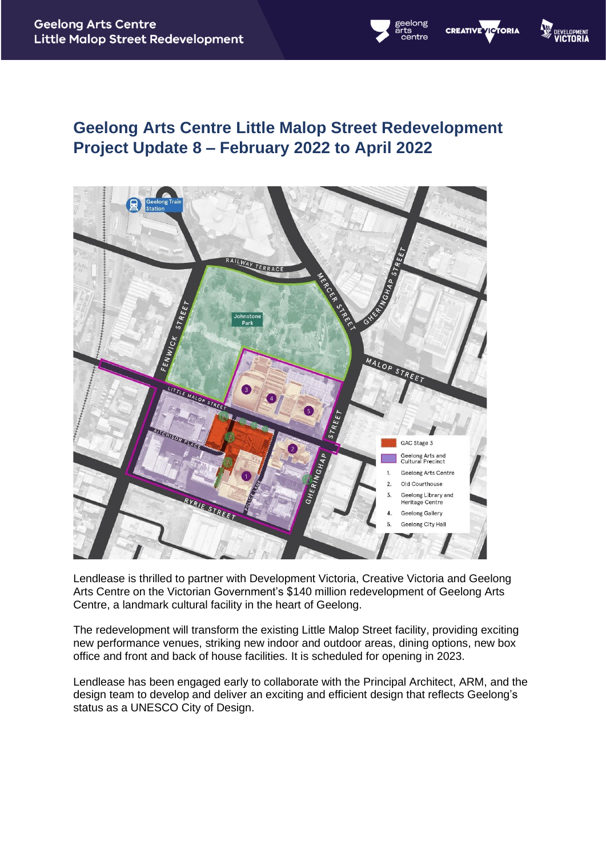# **Geelong Arts Centre Little Malop Street Redevelopment Project Update 8 – February 2022 to April 2022**

**W DEVELON** 

elong

**CREATIVE VICTORIA** 



Lendlease is thrilled to partner with Development Victoria, Creative Victoria and Geelong Arts Centre on the Victorian Government's \$140 million redevelopment of Geelong Arts Centre, a landmark cultural facility in the heart of Geelong.

The redevelopment will transform the existing Little Malop Street facility, providing exciting new performance venues, striking new indoor and outdoor areas, dining options, new box office and front and back of house facilities. It is scheduled for opening in 2023.

Lendlease has been engaged early to collaborate with the Principal Architect, ARM, and the design team to develop and deliver an exciting and efficient design that reflects Geelong's status as a UNESCO City of Design.